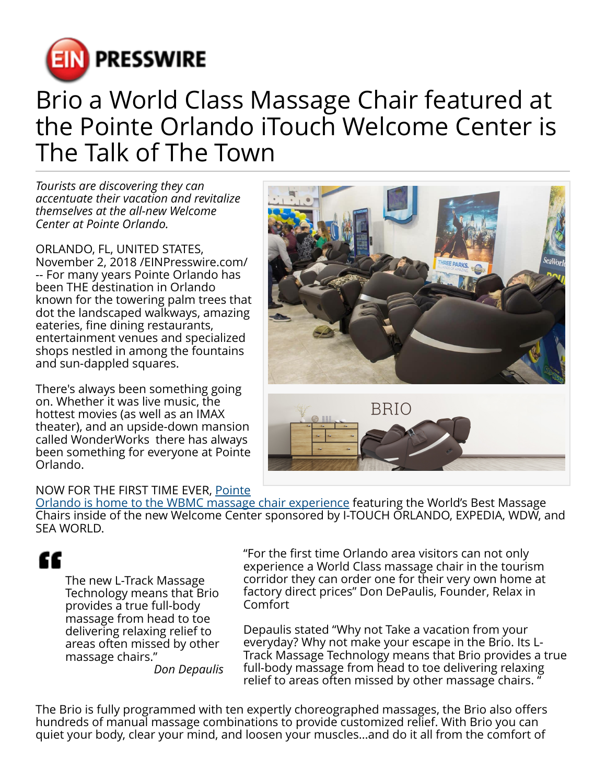

## Brio a World Class Massage Chair featured at the Pointe Orlando iTouch Welcome Center is The Talk of The Town

*Tourists are discovering they can accentuate their vacation and revitalize themselves at the all-new Welcome Center at Pointe Orlando.*

ORLANDO, FL, UNITED STATES, November 2, 2018 /[EINPresswire.com/](http://www.einpresswire.com) -- For many years Pointe Orlando has been THE destination in Orlando known for the towering palm trees that dot the landscaped walkways, amazing eateries, fine dining restaurants, entertainment venues and specialized shops nestled in among the fountains and sun-dappled squares.

There's always been something going on. Whether it was live music, the hottest movies (as well as an IMAX theater), and an upside-down mansion called WonderWorks there has always been something for everyone at Pointe Orlando.

## NOW FOR THE FIRST TIME EVER, [Pointe](https://www.facebook.com/iTouchOrlandoMarketing/)



[Orlando is home to the WBMC massage chair experience](https://www.facebook.com/iTouchOrlandoMarketing/) featuring the World's Best Massage Chairs inside of the new Welcome Center sponsored by I-TOUCH ORLANDO, EXPEDIA, WDW, and SEA WORLD.

## ££

The new L-Track Massage Technology means that Brio provides a true full-body massage from head to toe delivering relaxing relief to areas often missed by other massage chairs."

*Don Depaulis*

"For the first time Orlando area visitors can not only experience a World Class massage chair in the tourism corridor they can order one for their very own home at factory direct prices" Don DePaulis, Founder, Relax in **Comfort** 

Depaulis stated "Why not Take a vacation from your everyday? Why not make your escape in the Brio. Its L-Track Massage Technology means that Brio provides a true full-body massage from head to toe delivering relaxing relief to areas often missed by other massage chairs. "

The Brio is fully programmed with ten expertly choreographed massages, the Brio also offers hundreds of manual massage combinations to provide customized relief. With Brio you can quiet your body, clear your mind, and loosen your muscles…and do it all from the comfort of